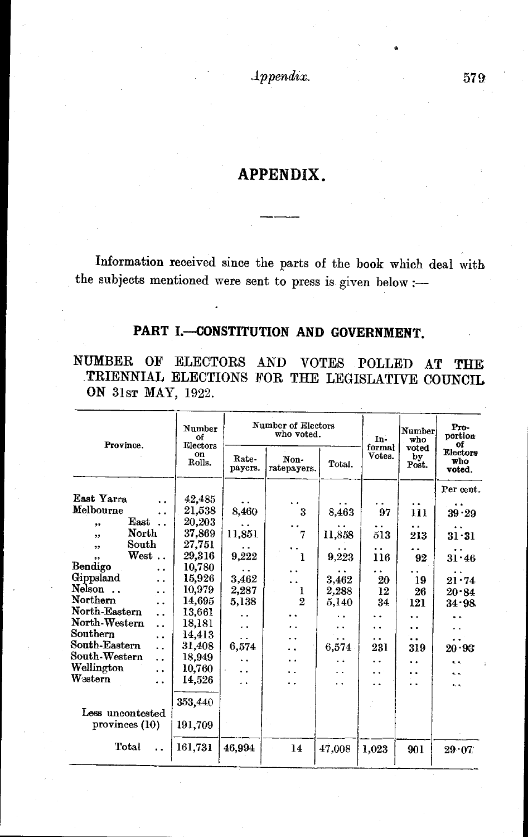*.lppendix.* 579

## **APPENDIX.**

Information received since the parts of the book which deal with the subjects mentioned were sent to press is given below :-

## PART I.-CONSTITUTION AND GOVERNMENT.

NUMBER OF ELECTORS AND VOTES POLLED AT THE .TRIENNIAL ELECTIONS FOR THE LEGISLATIVE COUNCIL ON 31sr MAY, 1922.

| Province.                             | Number<br>оf<br>Electors<br>on<br>Rolls. | Number of Electors<br>who voted. |                            |                      | In-<br>formal | Number<br>who        | Pro-<br>portion<br>Οf     |
|---------------------------------------|------------------------------------------|----------------------------------|----------------------------|----------------------|---------------|----------------------|---------------------------|
|                                       |                                          | Rate-<br>payers.                 | Non-<br>ratepayers.        | Total.               | Votes.        | voted<br>by<br>Post. | Electors<br>who<br>voted. |
|                                       |                                          |                                  |                            |                      |               |                      | Per cent.                 |
| East Yarra                            | 42,485                                   |                                  |                            |                      |               | . .                  |                           |
| Melbourne<br>$\cdot$ .                | $21{,}538$                               | 8,460                            | $\boldsymbol{\mathcal{S}}$ | 8,463                | 97            | 111                  | 39.29                     |
| East<br>,,                            | 20,203                                   |                                  |                            |                      |               | . .                  |                           |
| North<br>,,                           | 37,869                                   | 11,851                           | 7                          | 11,858               | 513           | 213                  | $31 \cdot 31$             |
| South<br>,,                           | 27,751                                   |                                  |                            |                      | . .           |                      |                           |
| $\operatorname{West}$<br>             | 29,316                                   | 9,222                            | 1                          | 9,223                | 116           | 92                   | $31 - 46$                 |
| Bendigo<br>. .                        | 10,780                                   |                                  |                            |                      |               |                      |                           |
| Gippsland<br>. .                      | 15,926                                   | 3.462                            |                            | 3,462                | 20            | 19                   | 21.74                     |
| Nelson<br>. .                         | 10,979                                   | 2,287                            | 1                          | 2,288                | 12            | 26                   | 20.84                     |
| Northern<br>. .                       | 14,695                                   | 5,138                            | $\overline{2}$             | 5,140                | 34            | 121                  | 34.98                     |
| North-Eastern<br>$\ddot{\phantom{0}}$ | 13,661                                   | . .                              |                            | ٠.                   |               | . .                  |                           |
| North-Western<br>$\ddot{\phantom{a}}$ | 18,181                                   | $\ddot{\phantom{0}}$             |                            | . .                  | . .           | . .                  |                           |
| Southern<br>$\ddot{\phantom{0}}$      | 14.413                                   |                                  |                            | . .                  | . .           |                      |                           |
| South-Eastern<br>$\ddot{\phantom{a}}$ | 31,408                                   | 6,574                            |                            | 6.574                | 231           | 319                  | 20.93                     |
| South-Western<br>$\ddot{\phantom{0}}$ | 18,949                                   | $\ddot{\phantom{0}}$             | . .                        | $\ddot{\phantom{0}}$ | . .           | . .                  | $\ddot{\phantom{a}}$      |
| Wellington<br>. .                     | 10,760                                   | $\ddot{\phantom{0}}$             | . .                        | . .                  | .             | . .                  | ά.                        |
| Western<br>. .                        | 14,526                                   | . .                              | ٠.                         | . .                  | . .           | . .                  | $\bullet$ .               |
| Less uncontested                      | 353,440                                  |                                  |                            |                      |               |                      |                           |
| provinces $(10)$                      | 191,709                                  |                                  |                            |                      |               |                      |                           |
| Total                                 | 161,731                                  | 46,994                           | 14                         | 47,008               | 1,023         | 901                  | 29.07                     |
|                                       |                                          |                                  |                            |                      |               |                      |                           |